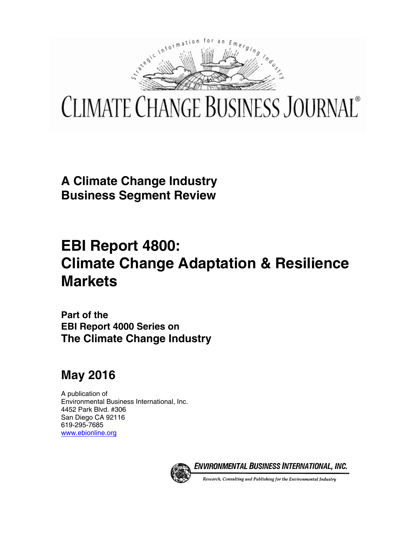

# **CLIMATE CHANGE BUSINESS JOURNAL**®

**A Climate Change Industry Business Segment Review** 

## **EBI Report 4800: Climate Change Adaptation & Resilience Markets**

**Part of the EBI Report 4000 Series on The Climate Change Industry** 

### **May 2016**

A publication of Environmental Business International, Inc. 4452 Park Blvd. #306 San Diego CA 92116 619-295-7685 www.ebionline.org



ENVIRONMENTAL BUSINESS INTERNATIONAL, INC.

Research, Consulting and Publishing for the Environmental Industry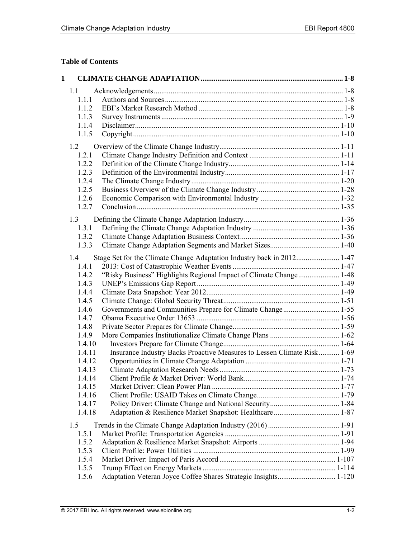#### **Table of Contents**

| $\mathbf{1}$ |                  |                                                                         |  |
|--------------|------------------|-------------------------------------------------------------------------|--|
|              | 1.1              |                                                                         |  |
|              | 1.1.1            |                                                                         |  |
|              | 1.1.2            |                                                                         |  |
|              | 1.1.3            |                                                                         |  |
|              | 1.1.4            |                                                                         |  |
|              | 1.1.5            |                                                                         |  |
|              | 1.2              |                                                                         |  |
|              | 1.2.1            |                                                                         |  |
|              | 1.2.2            |                                                                         |  |
|              | 1.2.3            |                                                                         |  |
|              | 1.2.4            |                                                                         |  |
|              | 1.2.5            |                                                                         |  |
|              | 1.2.6            |                                                                         |  |
|              | 1.2.7            |                                                                         |  |
|              | 1.3              |                                                                         |  |
|              | 1.3.1            |                                                                         |  |
|              | 1.3.2            |                                                                         |  |
|              | 1.3.3            |                                                                         |  |
|              | 1.4              |                                                                         |  |
|              | 1.4.1            |                                                                         |  |
|              | 1.4.2            | "Risky Business" Highlights Regional Impact of Climate Change 1-48      |  |
|              | 1.4.3            |                                                                         |  |
|              | 1.4.4            |                                                                         |  |
|              | 1.4.5            |                                                                         |  |
|              | 1.4.6            |                                                                         |  |
|              | 1.4.7            |                                                                         |  |
|              | 1.4.8            |                                                                         |  |
|              | 1.4.9            |                                                                         |  |
|              | 1.4.10           |                                                                         |  |
|              | 1.4.11<br>1.4.12 | Insurance Industry Backs Proactive Measures to Lessen Climate Risk 1-69 |  |
|              | 1.4.13           |                                                                         |  |
|              | 1.4.14           |                                                                         |  |
|              | 1.4.15           |                                                                         |  |
|              | 1.4.16           |                                                                         |  |
|              | 1.4.17           |                                                                         |  |
|              | 1.4.18           |                                                                         |  |
|              | 1.5              |                                                                         |  |
|              | 1.5.1            |                                                                         |  |
|              | 1.5.2            |                                                                         |  |
|              | 1.5.3            |                                                                         |  |
|              | 1.5.4            |                                                                         |  |
|              | 1.5.5            |                                                                         |  |
|              | 1.5.6            | Adaptation Veteran Joyce Coffee Shares Strategic Insights 1-120         |  |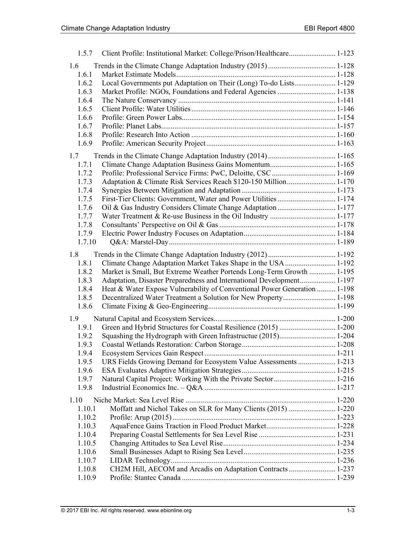| 1.5.7                   | Client Profile: Institutional Market: College/Prison/Healthcare 1-123                                                                              |  |
|-------------------------|----------------------------------------------------------------------------------------------------------------------------------------------------|--|
| 1.6<br>1.6.1            |                                                                                                                                                    |  |
| 1.6.2<br>1.6.3          | Local Governments put Adaptation on Their (Long) To-do Lists 1-129                                                                                 |  |
| 1.6.4<br>1.6.5<br>1.6.6 |                                                                                                                                                    |  |
| 1.6.7<br>1.6.8          |                                                                                                                                                    |  |
| 1.6.9                   |                                                                                                                                                    |  |
| 1.7<br>1.7.1            |                                                                                                                                                    |  |
| 1.7.2                   |                                                                                                                                                    |  |
| 1.7.3                   | Adaptation & Climate Risk Services Reach \$120-150 Million 1-170                                                                                   |  |
| 1.7.4<br>1.7.5          |                                                                                                                                                    |  |
| 1.7.6                   |                                                                                                                                                    |  |
| 1.7.7                   |                                                                                                                                                    |  |
| 1.7.8<br>1.7.9          |                                                                                                                                                    |  |
| 1.7.10                  |                                                                                                                                                    |  |
| 1.8                     |                                                                                                                                                    |  |
| 1.8.1                   | Climate Change Adaptation Market Takes Shape in the USA  1-192                                                                                     |  |
| 1.8.2<br>1.8.3          | Market is Small, But Extreme Weather Portends Long-Term Growth  1-195                                                                              |  |
| 1.8.4                   | Adaptation, Disaster Preparedness and International Development 1-197<br>Heat & Water Expose Vulnerability of Conventional Power Generation  1-198 |  |
| 1.8.5                   |                                                                                                                                                    |  |
| 1.8.6                   |                                                                                                                                                    |  |
| 1.9                     |                                                                                                                                                    |  |
| 1.9.1                   |                                                                                                                                                    |  |
| 1.9.2                   |                                                                                                                                                    |  |
| 1.9.3<br>1.9.4          |                                                                                                                                                    |  |
| 1.9.5                   | URS Fields Growing Demand for Ecosystem Value Assessments  1-213                                                                                   |  |
| 1.9.6                   |                                                                                                                                                    |  |
| 1.9.7                   |                                                                                                                                                    |  |
| 1.9.8                   |                                                                                                                                                    |  |
| 1.10                    |                                                                                                                                                    |  |
| 1.10.1                  | Moffatt and Nichol Takes on SLR for Many Clients (2015)  1-220                                                                                     |  |
| 1.10.2                  |                                                                                                                                                    |  |
| 1.10.3<br>1.10.4        |                                                                                                                                                    |  |
| 1.10.5                  |                                                                                                                                                    |  |
| 1.10.6                  |                                                                                                                                                    |  |
| 1.10.7                  |                                                                                                                                                    |  |
| 1.10.8                  | CH2M Hill, AECOM and Arcadis on Adaptation Contracts  1-237                                                                                        |  |
| 1.10.9                  |                                                                                                                                                    |  |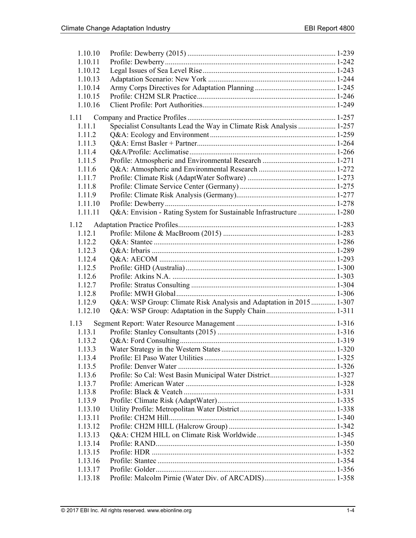| 1.10.10 |                                                                     |  |
|---------|---------------------------------------------------------------------|--|
| 1.10.11 |                                                                     |  |
| 1.10.12 |                                                                     |  |
| 1.10.13 |                                                                     |  |
| 1.10.14 |                                                                     |  |
| 1.10.15 |                                                                     |  |
| 1.10.16 |                                                                     |  |
| 1.11    |                                                                     |  |
| 1.11.1  | Specialist Consultants Lead the Way in Climate Risk Analysis  1-257 |  |
| 1.11.2  |                                                                     |  |
| 1.11.3  |                                                                     |  |
| 1.11.4  |                                                                     |  |
| 1.11.5  |                                                                     |  |
| 1.11.6  |                                                                     |  |
| 1.11.7  |                                                                     |  |
| 1.11.8  |                                                                     |  |
| 1.11.9  |                                                                     |  |
| 1.11.10 |                                                                     |  |
| 1.11.11 | Q&A: Envision - Rating System for Sustainable Infrastructure  1-280 |  |
|         |                                                                     |  |
| 1.12    |                                                                     |  |
| 1.12.1  |                                                                     |  |
| 1.12.2  |                                                                     |  |
| 1.12.3  |                                                                     |  |
| 1.12.4  |                                                                     |  |
| 1.12.5  |                                                                     |  |
| 1.12.6  |                                                                     |  |
| 1.12.7  |                                                                     |  |
| 1.12.8  |                                                                     |  |
| 1.12.9  | Q&A: WSP Group: Climate Risk Analysis and Adaptation in 2015 1-307  |  |
| 1.12.10 |                                                                     |  |
| 1.13    |                                                                     |  |
| 1.13.1  |                                                                     |  |
| 1.13.2  |                                                                     |  |
| 1.13.3  |                                                                     |  |
| 1.13.4  |                                                                     |  |
| 1.13.5  |                                                                     |  |
| 1.13.6  |                                                                     |  |
| 1.13.7  |                                                                     |  |
| 1.13.8  |                                                                     |  |
| 1.13.9  |                                                                     |  |
| 1.13.10 |                                                                     |  |
| 1.13.11 |                                                                     |  |
| 1.13.12 |                                                                     |  |
| 1.13.13 |                                                                     |  |
| 1.13.14 |                                                                     |  |
| 1.13.15 |                                                                     |  |
| 1.13.16 |                                                                     |  |
| 1.13.17 |                                                                     |  |
| 1.13.18 |                                                                     |  |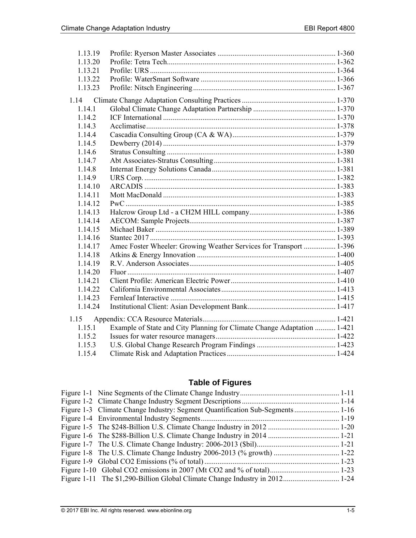| 1.13.19<br>1.13.20 |                                                                         |  |
|--------------------|-------------------------------------------------------------------------|--|
| 1.13.21            |                                                                         |  |
| 1.13.22            |                                                                         |  |
| 1.13.23            |                                                                         |  |
|                    |                                                                         |  |
| 1.14               |                                                                         |  |
| 1.14.1             |                                                                         |  |
| 1.14.2             |                                                                         |  |
| 1.14.3             |                                                                         |  |
| 1.14.4             |                                                                         |  |
| 1.14.5             |                                                                         |  |
| 1.14.6             |                                                                         |  |
| 1.14.7             |                                                                         |  |
| 1.14.8             |                                                                         |  |
| 1.14.9             |                                                                         |  |
| 1.14.10            |                                                                         |  |
| 1.14.11            |                                                                         |  |
| 1.14.12            |                                                                         |  |
| 1.14.13            |                                                                         |  |
| 1.14.14            |                                                                         |  |
| 1.14.15            |                                                                         |  |
| 1.14.16            |                                                                         |  |
| 1.14.17            | Amec Foster Wheeler: Growing Weather Services for Transport  1-396      |  |
| 1.14.18            |                                                                         |  |
| 1.14.19            |                                                                         |  |
| 1.14.20            |                                                                         |  |
| 1.14.21            |                                                                         |  |
| 1.14.22            |                                                                         |  |
| 1.14.23            |                                                                         |  |
| 1.14.24            |                                                                         |  |
| 1.15               |                                                                         |  |
| 1.15.1             | Example of State and City Planning for Climate Change Adaptation  1-421 |  |
| 1.15.2             |                                                                         |  |
| 1.15.3             |                                                                         |  |
| 1.15.4             |                                                                         |  |

#### **Table of Figures**

| Figure 1-3 Climate Change Industry: Segment Quantification Sub-Segments  1-16 |  |
|-------------------------------------------------------------------------------|--|
|                                                                               |  |
|                                                                               |  |
|                                                                               |  |
|                                                                               |  |
|                                                                               |  |
|                                                                               |  |
|                                                                               |  |
|                                                                               |  |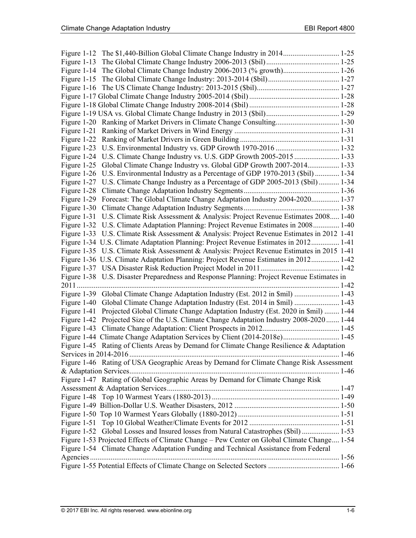| Figure 1-12                                                                                     |  |
|-------------------------------------------------------------------------------------------------|--|
| Figure 1-13                                                                                     |  |
| Figure 1-14                                                                                     |  |
|                                                                                                 |  |
|                                                                                                 |  |
|                                                                                                 |  |
|                                                                                                 |  |
|                                                                                                 |  |
| Figure 1-20 Ranking of Market Drivers in Climate Change Consulting 1-30                         |  |
|                                                                                                 |  |
|                                                                                                 |  |
| Figure 1-23 U.S. Environmental Industry vs. GDP Growth 1970-2016  1-32                          |  |
| Figure 1-24 U.S. Climate Change Industry vs. U.S. GDP Growth 2005-2015  1-33                    |  |
| Figure 1-25 Global Climate Change Industry vs. Global GDP Growth 2007-2014 1-33                 |  |
| Figure 1-26 U.S. Environmental Industry as a Percentage of GDP 1970-2013 (\$bil)  1-34          |  |
| Figure 1-27 U.S. Climate Change Industry as a Percentage of GDP 2005-2013 (\$bil)  1-34         |  |
|                                                                                                 |  |
| Figure 1-29 Forecast: The Global Climate Change Adaptation Industry 2004-2020 1-37              |  |
|                                                                                                 |  |
| Figure 1-31 U.S. Climate Risk Assessment & Analysis: Project Revenue Estimates 2008 1-40        |  |
| Figure 1-32 U.S. Climate Adaptation Planning: Project Revenue Estimates in 2008 1-40            |  |
| Figure 1-33 U.S. Climate Risk Assessment & Analysis: Project Revenue Estimates in 2012 1-41     |  |
| Figure 1-34 U.S. Climate Adaptation Planning: Project Revenue Estimates in 2012 1-41            |  |
| Figure 1-35 U.S. Climate Risk Assessment & Analysis: Project Revenue Estimates in 2015 1-41     |  |
| Figure 1-36 U.S. Climate Adaptation Planning: Project Revenue Estimates in 2012 1-42            |  |
|                                                                                                 |  |
| Figure 1-38 U.S. Disaster Preparedness and Response Planning: Project Revenue Estimates in      |  |
|                                                                                                 |  |
| Figure 1-39 Global Climate Change Adaptation Industry (Est. 2012 in \$mil)  1-43                |  |
| Figure 1-40 Global Climate Change Adaptation Industry (Est. 2014 in \$mil)  1-43                |  |
| Projected Global Climate Change Adaptation Industry (Est. 2020 in \$mil)  1-44<br>Figure $1-41$ |  |
| Figure 1-42 Projected Size of the U.S. Climate Change Adaptation Industry 2008-2020  1-44       |  |
|                                                                                                 |  |
|                                                                                                 |  |
| Figure 1-45 Rating of Clients Areas by Demand for Climate Change Resilience & Adaptation        |  |
| 1-46                                                                                            |  |
| Figure 1-46 Rating of USA Geographic Areas by Demand for Climate Change Risk Assessment         |  |
|                                                                                                 |  |
| Figure 1-47 Rating of Global Geographic Areas by Demand for Climate Change Risk                 |  |
|                                                                                                 |  |
|                                                                                                 |  |
|                                                                                                 |  |
|                                                                                                 |  |
|                                                                                                 |  |
| Figure 1-52 Global Losses and Insured losses from Natural Catastrophes (\$bil)  1-53            |  |
| Figure 1-53 Projected Effects of Climate Change - Pew Center on Global Climate Change 1-54      |  |
| Figure 1-54 Climate Change Adaptation Funding and Technical Assistance from Federal             |  |
|                                                                                                 |  |
|                                                                                                 |  |